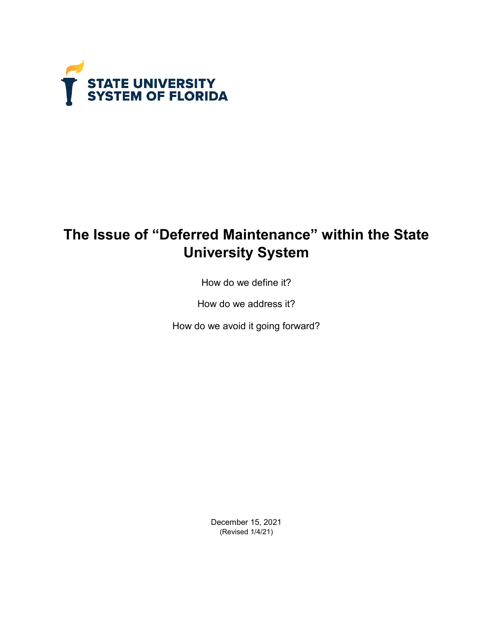

# **The Issue of "Deferred Maintenance" within the State University System**

How do we define it?

How do we address it?

How do we avoid it going forward?

December 15, 2021 (Revised 1/4/21)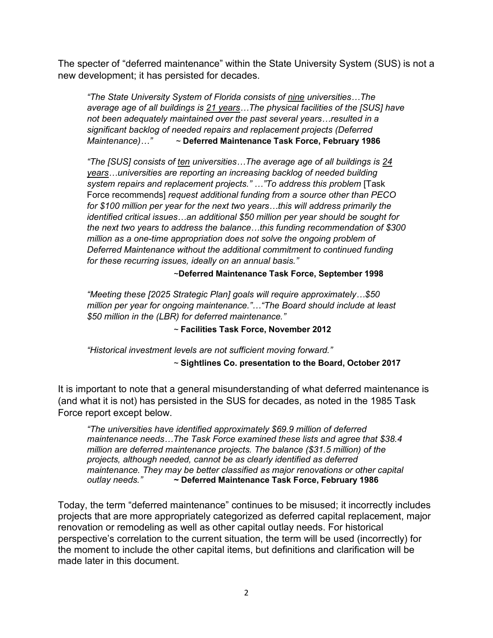The specter of "deferred maintenance" within the State University System (SUS) is not a new development; it has persisted for decades.

*"The State University System of Florida consists of nine universities…The average age of all buildings is 21 years…The physical facilities of the [SUS] have not been adequately maintained over the past several years…resulted in a significant backlog of needed repairs and replacement projects (Deferred Maintenance)…"* ~ **Deferred Maintenance Task Force, February 1986**

*"The [SUS] consists of ten universities…The average age of all buildings is 24 years…universities are reporting an increasing backlog of needed building system repairs and replacement projects." …"To address this problem* [Task Force recommends] *request additional funding from a source other than PECO for \$100 million per year for the next two years…this will address primarily the identified critical issues…an additional \$50 million per year should be sought for the next two years to address the balance…this funding recommendation of \$300 million as a one-time appropriation does not solve the ongoing problem of Deferred Maintenance without the additional commitment to continued funding for these recurring issues, ideally on an annual basis."*

#### ~**Deferred Maintenance Task Force, September 1998**

*"Meeting these [2025 Strategic Plan] goals will require approximately…\$50 million per year for ongoing maintenance."…"The Board should include at least \$50 million in the (LBR) for deferred maintenance."*

~ **Facilities Task Force, November 2012**

*"Historical investment levels are not sufficient moving forward."* 

~ **Sightlines Co. presentation to the Board, October 2017**

It is important to note that a general misunderstanding of what deferred maintenance is (and what it is not) has persisted in the SUS for decades, as noted in the 1985 Task Force report except below.

*"The universities have identified approximately \$69.9 million of deferred maintenance needs…The Task Force examined these lists and agree that \$38.4 million are deferred maintenance projects. The balance (\$31.5 million) of the projects, although needed, cannot be as clearly identified as deferred maintenance. They may be better classified as major renovations or other capital outlay needs."* **~ Deferred Maintenance Task Force, February 1986**

Today, the term "deferred maintenance" continues to be misused; it incorrectly includes projects that are more appropriately categorized as deferred capital replacement, major renovation or remodeling as well as other capital outlay needs. For historical perspective's correlation to the current situation, the term will be used (incorrectly) for the moment to include the other capital items, but definitions and clarification will be made later in this document.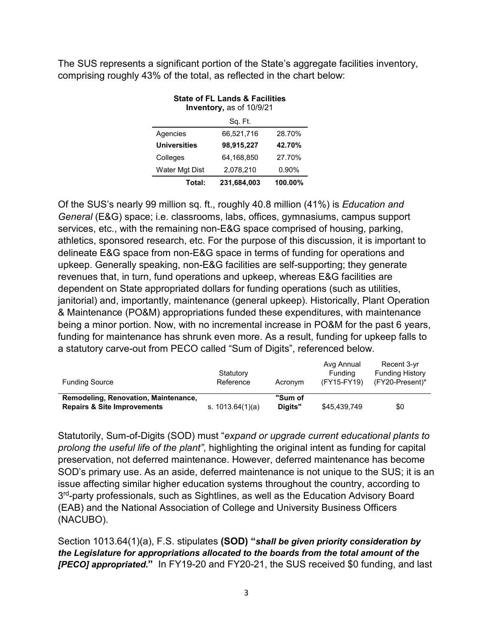The SUS represents a significant portion of the State's aggregate facilities inventory, comprising roughly 43% of the total, as reflected in the chart below:

| State OFFL Lanus & Facilities<br>Inventory, as of 10/9/21 |                        |          |  |  |  |  |  |  |  |
|-----------------------------------------------------------|------------------------|----------|--|--|--|--|--|--|--|
| Sq. Ft.                                                   |                        |          |  |  |  |  |  |  |  |
| 66,521,716<br>28.70%<br>Agencies                          |                        |          |  |  |  |  |  |  |  |
| <b>Universities</b>                                       | 98,915,227             | 42.70%   |  |  |  |  |  |  |  |
| Colleges                                                  | 64.168.850             | 27.70%   |  |  |  |  |  |  |  |
| Water Mgt Dist                                            | 2,078,210              | $0.90\%$ |  |  |  |  |  |  |  |
| Total:                                                    | 231.684.003<br>100.00% |          |  |  |  |  |  |  |  |

## **State of FL Lands & Facilities**

Of the SUS's nearly 99 million sq. ft., roughly 40.8 million (41%) is *Education and General* (E&G) space; i.e. classrooms, labs, offices, gymnasiums, campus support services, etc., with the remaining non-E&G space comprised of housing, parking, athletics, sponsored research, etc. For the purpose of this discussion, it is important to delineate E&G space from non-E&G space in terms of funding for operations and upkeep. Generally speaking, non-E&G facilities are self-supporting; they generate revenues that, in turn, fund operations and upkeep, whereas E&G facilities are dependent on State appropriated dollars for funding operations (such as utilities, janitorial) and, importantly, maintenance (general upkeep). Historically, Plant Operation & Maintenance (PO&M) appropriations funded these expenditures, with maintenance being a minor portion. Now, with no incremental increase in PO&M for the past 6 years, funding for maintenance has shrunk even more. As a result, funding for upkeep falls to a statutory carve-out from PECO called "Sum of Digits", referenced below.

| <b>Funding Source</b>                                                          | Statutory<br>Reference | Acronym            | Avg Annual<br><b>Funding</b><br>(FY15-FY19) | Recent 3-yr<br><b>Funding History</b><br>$(FY20-Present)^*$ |
|--------------------------------------------------------------------------------|------------------------|--------------------|---------------------------------------------|-------------------------------------------------------------|
| Remodeling, Renovation, Maintenance,<br><b>Repairs &amp; Site Improvements</b> | s. $1013.64(1)(a)$     | "Sum of<br>Diaits" | \$45,439,749                                | \$0                                                         |

Statutorily, Sum-of-Digits (SOD) must "*expand or upgrade current educational plants to prolong the useful life of the plant"*, highlighting the original intent as funding for capital preservation, not deferred maintenance. However, deferred maintenance has become SOD's primary use. As an aside, deferred maintenance is not unique to the SUS; it is an issue affecting similar higher education systems throughout the country, according to 3<sup>rd</sup>-party professionals, such as Sightlines, as well as the Education Advisory Board (EAB) and the National Association of College and University Business Officers (NACUBO).

Section 1013.64(1)(a), F.S. stipulates **(SOD) "***shall be given priority consideration by the Legislature for appropriations allocated to the boards from the total amount of the [PECO] appropriated***."** In FY19-20 and FY20-21, the SUS received \$0 funding, and last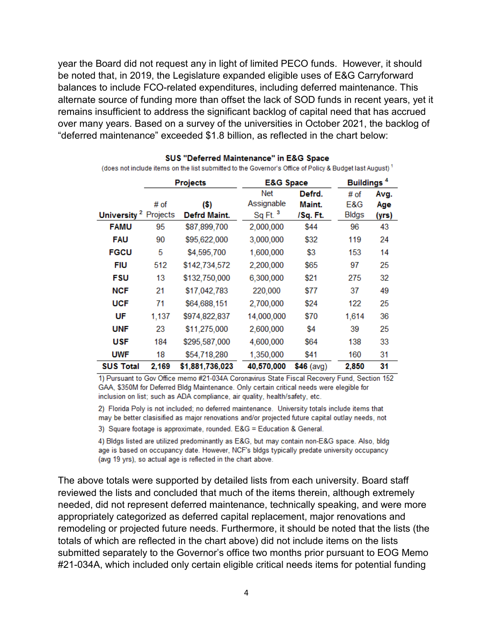year the Board did not request any in light of limited PECO funds. However, it should be noted that, in 2019, the Legislature expanded eligible uses of E&G Carryforward balances to include FCO-related expenditures, including deferred maintenance. This alternate source of funding more than offset the lack of SOD funds in recent years, yet it remains insufficient to address the significant backlog of capital need that has accrued over many years. Based on a survey of the universities in October 2021, the backlog of "deferred maintenance" exceeded \$1.8 billion, as reflected in the chart below:

|                   |          | <b>Projects</b> | <b>E&amp;G Space</b> |                  | Buildings <sup>4</sup> |             |  |
|-------------------|----------|-----------------|----------------------|------------------|------------------------|-------------|--|
|                   | # of     | (S)             | Net<br>Assignable    | Defrd.<br>Maint. | # of<br>E&G            | Avg.<br>Age |  |
| <b>University</b> | Projects | Defrd Maint.    | Sq Ft. <sup>3</sup>  | /Sq. Ft.         | <b>Bldgs</b>           | (yrs)       |  |
| <b>FAMU</b>       | 95       | \$87,899,700    | 2,000,000            | \$44             | 96                     | 43          |  |
| <b>FAU</b>        | 90       | \$95,622,000    | 3,000,000            | \$32             | 119                    | 24          |  |
| <b>FGCU</b>       | 5        | \$4,595,700     | 1,600,000            | \$3              | 153                    | 14          |  |
| FIU               | 512      | \$142,734,572   | 2,200,000            | \$65             | 97                     | 25          |  |
| FSU               | 13       | \$132,750,000   | 6,300,000            | \$21             | 275                    | 32          |  |
| <b>NCF</b>        | 21       | \$17,042,783    | 220,000              | \$77             | 37                     | 49          |  |
| <b>UCF</b>        | 71       | \$64,688,151    | 2,700,000            | \$24             | 122                    | 25          |  |
| UF                | 1,137    | \$974,822,837   | 14,000,000           | \$70             | 1,614                  | 36          |  |
| <b>UNF</b>        | 23       | \$11,275,000    | 2,600,000            | \$4              | 39                     | 25          |  |
| USF               | 184      | \$295,587,000   | 4,600,000            | \$64             | 138                    | 33          |  |
| <b>UWF</b>        | 18       | \$54,718,280    | 1,350,000            | \$41             | 160                    | 31          |  |
| <b>SUS Total</b>  | 2.169    | \$1.881.736.023 | 40.570.000           | $$46$ (avg)      | 2.850                  | 31          |  |

#### SUS "Deferred Maintenance" in E&G Space

(does not include items on the list submitted to the Governor's Office of Policy & Budget last August)<sup>1</sup>

1) Pursuant to Gov Office memo #21-034A Coronavirus State Fiscal Recovery Fund, Section 152 GAA, \$350M for Deferred Bldg Maintenance. Only certain critical needs were elegible for inclusion on list; such as ADA compliance, air quality, health/safety, etc.

2) Florida Poly is not included; no deferred maintenance. University totals include items that may be better clasisified as major renovations and/or projected future capital outlay needs, not

3) Square footage is approximate, rounded. E&G = Education & General.

4) Bldgs listed are utilized predominantly as E&G, but may contain non-E&G space. Also, bldg age is based on occupancy date. However, NCF's bldgs typically predate university occupancy (avg 19 yrs), so actual age is reflected in the chart above.

The above totals were supported by detailed lists from each university. Board staff reviewed the lists and concluded that much of the items therein, although extremely needed, did not represent deferred maintenance, technically speaking, and were more appropriately categorized as deferred capital replacement, major renovations and remodeling or projected future needs. Furthermore, it should be noted that the lists (the totals of which are reflected in the chart above) did not include items on the lists submitted separately to the Governor's office two months prior pursuant to EOG Memo #21-034A, which included only certain eligible critical needs items for potential funding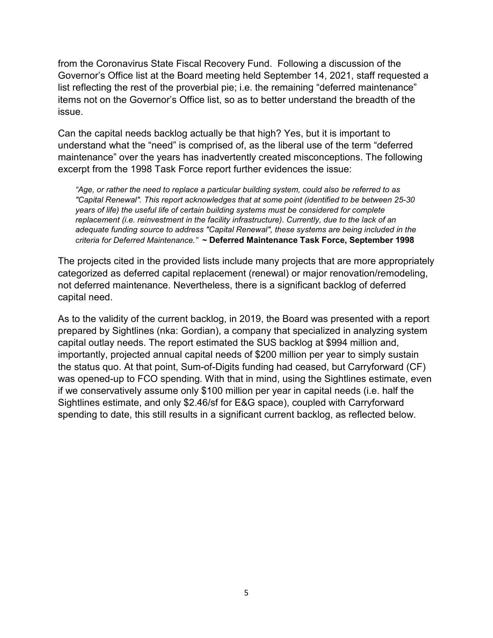from the Coronavirus State Fiscal Recovery Fund. Following a discussion of the Governor's Office list at the Board meeting held September 14, 2021, staff requested a list reflecting the rest of the proverbial pie; i.e. the remaining "deferred maintenance" items not on the Governor's Office list, so as to better understand the breadth of the issue.

Can the capital needs backlog actually be that high? Yes, but it is important to understand what the "need" is comprised of, as the liberal use of the term "deferred maintenance" over the years has inadvertently created misconceptions. The following excerpt from the 1998 Task Force report further evidences the issue:

*"Age, or rather the need to replace a particular building system, could also be referred to as "Capital Renewal". This report acknowledges that at some point (identified to be between 25-30 years of life) the useful life of certain building systems must be considered for complete replacement (i.e. reinvestment in the facility infrastructure). Currently, due to the lack of an adequate funding source to address "Capital Renewal", these systems are being included in the criteria for Deferred Maintenance."* **~ Deferred Maintenance Task Force, September 1998**

The projects cited in the provided lists include many projects that are more appropriately categorized as deferred capital replacement (renewal) or major renovation/remodeling, not deferred maintenance. Nevertheless, there is a significant backlog of deferred capital need.

As to the validity of the current backlog, in 2019, the Board was presented with a report prepared by Sightlines (nka: Gordian), a company that specialized in analyzing system capital outlay needs. The report estimated the SUS backlog at \$994 million and, importantly, projected annual capital needs of \$200 million per year to simply sustain the status quo. At that point, Sum-of-Digits funding had ceased, but Carryforward (CF) was opened-up to FCO spending. With that in mind, using the Sightlines estimate, even if we conservatively assume only \$100 million per year in capital needs (i.e. half the Sightlines estimate, and only \$2.46/sf for E&G space), coupled with Carryforward spending to date, this still results in a significant current backlog, as reflected below.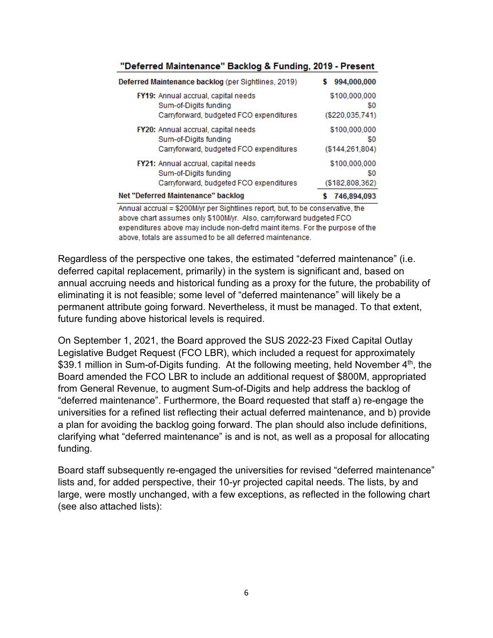| Deferred Maintenance backlog (per Sightlines, 2019) | 994,000,000      |
|-----------------------------------------------------|------------------|
| FY19: Annual accrual, capital needs                 | \$100,000,000    |
| Sum-of-Digits funding                               | \$0              |
| Carryforward, budgeted FCO expenditures             | (\$220.035.741)  |
| FY20: Annual accrual, capital needs                 | \$100,000,000    |
| Sum-of-Digits funding                               | \$0              |
| Carryforward, budgeted FCO expenditures             | (S144, 261, 804) |
| FY21: Annual accrual, capital needs                 | \$100,000,000    |
| Sum-of-Digits funding                               | \$0              |
| Carryforward, budgeted FCO expenditures             | (\$182,808,362)  |
| Net "Deferred Maintenance" backlog                  | 746,894,093      |

#### "Deferred Maintenance" Backlog & Funding, 2019 - Present

Annual accrual = \$200M/yr per Sightlines report, but, to be conservative, the above chart assumes only \$100M/yr. Also, carryforward budgeted FCO expenditures above may include non-defrd maint items. For the purpose of the above, totals are assumed to be all deferred maintenance.

Regardless of the perspective one takes, the estimated "deferred maintenance" (i.e. deferred capital replacement, primarily) in the system is significant and, based on annual accruing needs and historical funding as a proxy for the future, the probability of eliminating it is not feasible; some level of "deferred maintenance" will likely be a permanent attribute going forward. Nevertheless, it must be managed. To that extent, future funding above historical levels is required.

On September 1, 2021, the Board approved the SUS 2022-23 Fixed Capital Outlay Legislative Budget Request (FCO LBR), which included a request for approximately \$39.1 million in Sum-of-Digits funding. At the following meeting, held November 4<sup>th</sup>, the Board amended the FCO LBR to include an additional request of \$800M, appropriated from General Revenue, to augment Sum-of-Digits and help address the backlog of "deferred maintenance". Furthermore, the Board requested that staff a) re-engage the universities for a refined list reflecting their actual deferred maintenance, and b) provide a plan for avoiding the backlog going forward. The plan should also include definitions, clarifying what "deferred maintenance" is and is not, as well as a proposal for allocating funding.

Board staff subsequently re-engaged the universities for revised "deferred maintenance" lists and, for added perspective, their 10-yr projected capital needs. The lists, by and large, were mostly unchanged, with a few exceptions, as reflected in the following chart (see also attached lists):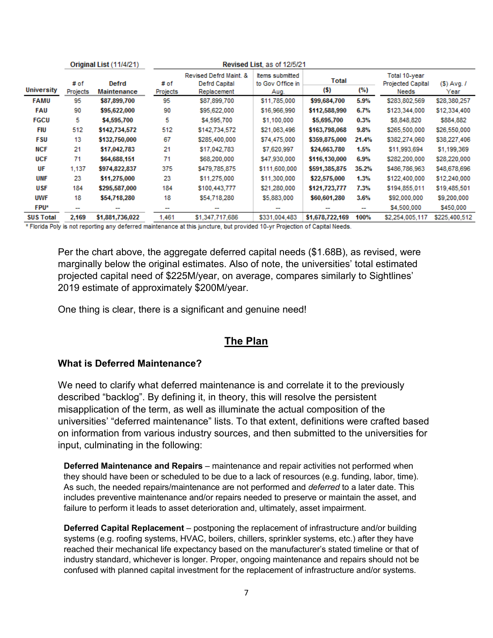|                   |                          | Original List (11/4/21) | Revised List, as of 12/5/21 |                                                               |                                             |                 |         |                                                    |                        |
|-------------------|--------------------------|-------------------------|-----------------------------|---------------------------------------------------------------|---------------------------------------------|-----------------|---------|----------------------------------------------------|------------------------|
| <b>University</b> | # of<br>Projects         | Defrd<br>Maintenance    | # of<br>Projects            | Revised Defrd Maint. &<br><b>Defrd Capital</b><br>Replacement | Items submitted<br>to Gov Office in<br>Aug. | Total<br>(S)    | (%)     | Total 10-year<br><b>Projected Capital</b><br>Needs | $(S)$ Avg. $I$<br>Year |
| <b>FAMU</b>       | 95                       | \$87,899,700            | 95                          | \$87,899,700                                                  | \$11,785,000                                | \$99,684,700    | 5.9%    | \$283,802,569                                      | \$28,380,257           |
| <b>FAU</b>        | 90                       | \$95,622,000            | 90                          | \$95,622,000                                                  | \$16,966,990                                | \$112,588,990   | 6.7%    | \$123,344,000                                      | \$12,334,400           |
| <b>FGCU</b>       | 5                        | \$4,595,700             | 5                           | \$4,595,700                                                   | \$1,100,000                                 | \$5,695,700     | $0.3\%$ | \$8,848,820                                        | \$884,882              |
| FIU               | 512                      | \$142,734,572           | 512                         | \$142,734,572                                                 | \$21,063,496                                | \$163,798,068   | $9.8\%$ | \$265,500,000                                      | \$26,550,000           |
| <b>FSU</b>        | 13                       | \$132,750,000           | 67                          | \$285,400,000                                                 | \$74,475,000                                | \$359,875,000   | 21.4%   | \$382,274,060                                      | \$38,227,406           |
| <b>NCF</b>        | 21                       | \$17,042,783            | 21                          | \$17,042,783                                                  | \$7,620,997                                 | \$24,663,780    | 1.5%    | \$11,993,694                                       | \$1,199,369            |
| <b>UCF</b>        | 71                       | \$64,688,151            | 71                          | \$68,200,000                                                  | \$47,930,000                                | \$116,130,000   | 6.9%    | \$282,200,000                                      | \$28,220,000           |
| UF                | 1.137                    | \$974,822,837           | 375                         | \$479,785,875                                                 | \$111,600,000                               | \$591,385,875   | 35.2%   | \$486,786,963                                      | \$48,678,696           |
| <b>UNF</b>        | 23                       | \$11,275,000            | 23                          | \$11,275,000                                                  | \$11,300,000                                | \$22,575,000    | 1.3%    | \$122,400,000                                      | \$12,240,000           |
| USF               | 184                      | \$295,587,000           | 184                         | \$100,443,777                                                 | \$21,280,000                                | \$121,723,777   | 7.3%    | \$194,855,011                                      | \$19,485,501           |
| UWF               | 18                       | \$54,718,280            | 18                          | \$54,718,280                                                  | \$5,883,000                                 | \$60,601,280    | 3.6%    | \$92,000,000                                       | \$9,200,000            |
| <b>FPU*</b>       | $\overline{\phantom{a}}$ |                         |                             | --                                                            | $\overline{\phantom{a}}$                    |                 | . .     | \$4,500,000                                        | \$450,000              |
| <b>SUS Total</b>  | 2,169                    | \$1,881,736,022         | 1.461                       | \$1,347,717,686                                               | \$331,004,483                               | \$1,678,722,169 | 100%    | \$2,254,005,117                                    | \$225,400,512          |

\* Florida Poly is not reporting any deferred maintenance at this juncture, but provided 10-yr Projection of Capital Needs.

Per the chart above, the aggregate deferred capital needs (\$1.68B), as revised, were marginally below the original estimates. Also of note, the universities' total estimated projected capital need of \$225M/year, on average, compares similarly to Sightlines' 2019 estimate of approximately \$200M/year.

One thing is clear, there is a significant and genuine need!

## **The Plan**

#### **What is Deferred Maintenance?**

We need to clarify what deferred maintenance is and correlate it to the previously described "backlog". By defining it, in theory, this will resolve the persistent misapplication of the term, as well as illuminate the actual composition of the universities' "deferred maintenance" lists. To that extent, definitions were crafted based on information from various industry sources, and then submitted to the universities for input, culminating in the following:

**Deferred Maintenance and Repairs** – maintenance and repair activities not performed when they should have been or scheduled to be due to a lack of resources (e.g. funding, labor, time). As such, the needed repairs/maintenance are not performed and *deferred* to a later date. This includes preventive maintenance and/or repairs needed to preserve or maintain the asset, and failure to perform it leads to asset deterioration and, ultimately, asset impairment.

**Deferred Capital Replacement** – postponing the replacement of infrastructure and/or building systems (e.g. roofing systems, HVAC, boilers, chillers, sprinkler systems, etc.) after they have reached their mechanical life expectancy based on the manufacturer's stated timeline or that of industry standard, whichever is longer. Proper, ongoing maintenance and repairs should not be confused with planned capital investment for the replacement of infrastructure and/or systems.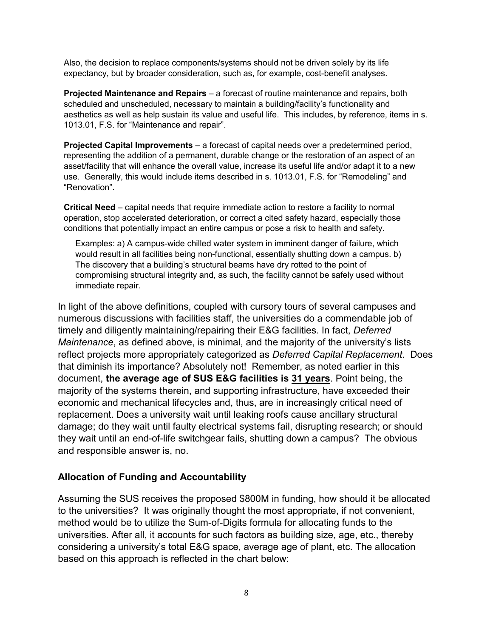Also, the decision to replace components/systems should not be driven solely by its life expectancy, but by broader consideration, such as, for example, cost-benefit analyses.

**Projected Maintenance and Repairs** – a forecast of routine maintenance and repairs, both scheduled and unscheduled, necessary to maintain a building/facility's functionality and aesthetics as well as help sustain its value and useful life. This includes, by reference, items in s. 1013.01, F.S. for "Maintenance and repair".

**Projected Capital Improvements** – a forecast of capital needs over a predetermined period, representing the addition of a permanent, durable change or the restoration of an aspect of an asset/facility that will enhance the overall value, increase its useful life and/or adapt it to a new use. Generally, this would include items described in s. 1013.01, F.S. for "Remodeling" and "Renovation".

**Critical Need** – capital needs that require immediate action to restore a facility to normal operation, stop accelerated deterioration, or correct a cited safety hazard, especially those conditions that potentially impact an entire campus or pose a risk to health and safety.

Examples: a) A campus-wide chilled water system in imminent danger of failure, which would result in all facilities being non-functional, essentially shutting down a campus. b) The discovery that a building's structural beams have dry rotted to the point of compromising structural integrity and, as such, the facility cannot be safely used without immediate repair.

In light of the above definitions, coupled with cursory tours of several campuses and numerous discussions with facilities staff, the universities do a commendable job of timely and diligently maintaining/repairing their E&G facilities. In fact, *Deferred Maintenance*, as defined above, is minimal, and the majority of the university's lists reflect projects more appropriately categorized as *Deferred Capital Replacement*. Does that diminish its importance? Absolutely not! Remember, as noted earlier in this document, **the average age of SUS E&G facilities is 31 years**. Point being, the majority of the systems therein, and supporting infrastructure, have exceeded their economic and mechanical lifecycles and, thus, are in increasingly critical need of replacement. Does a university wait until leaking roofs cause ancillary structural damage; do they wait until faulty electrical systems fail, disrupting research; or should they wait until an end-of-life switchgear fails, shutting down a campus? The obvious and responsible answer is, no.

#### **Allocation of Funding and Accountability**

Assuming the SUS receives the proposed \$800M in funding, how should it be allocated to the universities? It was originally thought the most appropriate, if not convenient, method would be to utilize the Sum-of-Digits formula for allocating funds to the universities. After all, it accounts for such factors as building size, age, etc., thereby considering a university's total E&G space, average age of plant, etc. The allocation based on this approach is reflected in the chart below: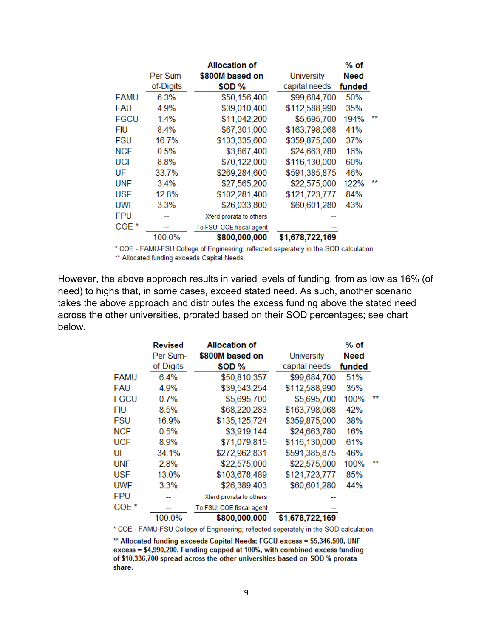|                  |           | <b>Allocation of</b>     |                   | $%$ of      |    |
|------------------|-----------|--------------------------|-------------------|-------------|----|
|                  | Per Sum-  | \$800M based on          | <b>University</b> | <b>Need</b> |    |
|                  | of-Digits | SOD <sub>%</sub>         | capital needs     | funded      |    |
| <b>FAMU</b>      | 6.3%      | \$50,156,400             | \$99,684,700      | 50%         |    |
| FAU              | 4.9%      | \$39,010,400             | \$112,588,990     | 35%         |    |
| <b>FGCU</b>      | 1.4%      | \$11,042,200             | \$5,695,700       | 194%        | ** |
| FIU              | 8.4%      | \$67,301,000             | \$163,798,068     | 41%         |    |
| FSU              | 16.7%     | \$133,335,600            | \$359,875,000     | 37%         |    |
| <b>NCF</b>       | 0.5%      | \$3,867,400              | \$24,663,780      | 16%         |    |
| UCF              | 8.8%      | \$70,122,000             | \$116,130,000     | 60%         |    |
| UF               | 33.7%     | \$269,284,600            | \$591,385,875     | 46%         |    |
| <b>UNF</b>       | $3.4\%$   | \$27,565,200             | \$22,575,000      | 122%        | ** |
| USF              | 12.8%     | \$102,281,400            | \$121,723,777     | 84%         |    |
| UWF              | 3.3%      | \$26,033,800             | \$60,601,280      | 43%         |    |
| <b>FPU</b>       |           | Xferd prorata to others  |                   |             |    |
| COE <sup>*</sup> |           | To FSU; COE fiscal agent |                   |             |    |
|                  | 100.0%    | \$800,000,000            | \$1,678,722,169   |             |    |

\* COE - FAMU-FSU College of Engineering; reflected seperately in the SOD calculation \*\* Allocated funding exceeds Capital Needs.

However, the above approach results in varied levels of funding, from as low as 16% (of need) to highs that, in some cases, exceed stated need. As such, another scenario takes the above approach and distributes the excess funding above the stated need across the other universities, prorated based on their SOD percentages; see chart below.

|                  | <b>Revised</b> | Allocation of            |                   | $%$ of      |    |
|------------------|----------------|--------------------------|-------------------|-------------|----|
|                  | Per Sum-       | \$800M based on          | <b>University</b> | <b>Need</b> |    |
|                  | of-Digits      | SOD %                    | capital needs     | funded      |    |
| <b>FAMU</b>      | 6.4%           | \$50,810,357             | \$99,684,700      | 51%         |    |
| <b>FAU</b>       | 4.9%           | \$39,543,254             | \$112,588,990     | 35%         |    |
| <b>FGCU</b>      | $0.7\%$        | \$5,695,700              | \$5,695,700       | 100%        | ** |
| <b>FIU</b>       | 8.5%           | \$68,220,283             | \$163,798,068     | 42%         |    |
| <b>FSU</b>       | 16.9%          | \$135,125,724            | \$359,875,000     | 38%         |    |
| <b>NCF</b>       | 0.5%           | \$3,919,144              | \$24,663,780      | 16%         |    |
| <b>UCF</b>       | 8.9%           | \$71,079,815             | \$116,130,000     | 61%         |    |
| UF               | 34.1%          | \$272,962,831            | \$591,385,875     | 46%         |    |
| <b>UNF</b>       | 2.8%           | \$22,575,000             | \$22,575,000      | 100%        | ** |
| <b>USF</b>       | 13.0%          | \$103,678,489            | \$121,723,777     | 85%         |    |
| <b>UWF</b>       | 3.3%           | \$26,389,403             | \$60,601,280      | 44%         |    |
| <b>FPU</b>       |                | Xferd prorata to others  |                   |             |    |
| COE <sup>*</sup> |                | To FSU; COE fiscal agent |                   |             |    |
|                  | 100.0%         | \$800,000,000            | \$1,678,722,169   |             |    |

\* COE - FAMU-FSU College of Engineering; reflected seperately in the SOD calculation.

\*\* Allocated funding exceeds Capital Needs; FGCU excess = \$5,346,500, UNF excess = \$4,990,200. Funding capped at 100%, with combined excess funding of \$10,336,700 spread across the other universities based on SOD % prorata share.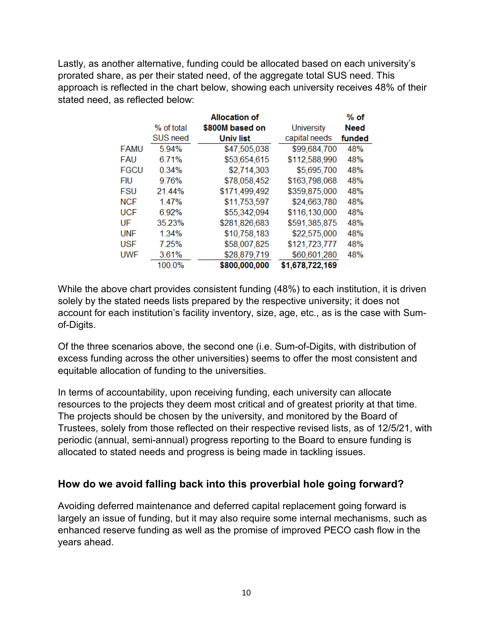Lastly, as another alternative, funding could be allocated based on each university's prorated share, as per their stated need, of the aggregate total SUS need. This approach is reflected in the chart below, showing each university receives 48% of their stated need, as reflected below:

|             |            | <b>Allocation of</b> |                   | $%$ of      |
|-------------|------------|----------------------|-------------------|-------------|
|             | % of total | \$800M based on      | <b>University</b> | <b>Need</b> |
|             | SUS need   | Univ list            | capital needs     | funded      |
| <b>FAMU</b> | 5.94%      | \$47,505,038         | \$99,684,700      | 48%         |
| <b>FAU</b>  | 6.71%      | \$53,654,615         | \$112,588,990     | 48%         |
| <b>FGCU</b> | 0.34%      | \$2,714,303          | \$5,695,700       | 48%         |
| <b>FIU</b>  | 9.76%      | \$78,058,452         | \$163,798,068     | 48%         |
| <b>FSU</b>  | 21.44%     | \$171,499,492        | \$359,875,000     | 48%         |
| <b>NCF</b>  | 1.47%      | \$11,753,597         | \$24,663,780      | 48%         |
| <b>UCF</b>  | 6.92%      | \$55,342,094         | \$116,130,000     | 48%         |
| UF          | 35.23%     | \$281,826,683        | \$591,385,875     | 48%         |
| <b>UNF</b>  | 1.34%      | \$10,758,183         | \$22,575,000      | 48%         |
| <b>USF</b>  | 7.25%      | \$58,007,825         | \$121,723,777     | 48%         |
| <b>UWF</b>  | 3.61%      | \$28,879,719         | \$60,601,280      | 48%         |
|             | 100.0%     | \$800,000,000        | \$1,678,722,169   |             |

While the above chart provides consistent funding (48%) to each institution, it is driven solely by the stated needs lists prepared by the respective university; it does not account for each institution's facility inventory, size, age, etc., as is the case with Sumof-Digits.

Of the three scenarios above, the second one (i.e. Sum-of-Digits, with distribution of excess funding across the other universities) seems to offer the most consistent and equitable allocation of funding to the universities.

In terms of accountability, upon receiving funding, each university can allocate resources to the projects they deem most critical and of greatest priority at that time. The projects should be chosen by the university, and monitored by the Board of Trustees, solely from those reflected on their respective revised lists, as of 12/5/21, with periodic (annual, semi-annual) progress reporting to the Board to ensure funding is allocated to stated needs and progress is being made in tackling issues.

## **How do we avoid falling back into this proverbial hole going forward?**

Avoiding deferred maintenance and deferred capital replacement going forward is largely an issue of funding, but it may also require some internal mechanisms, such as enhanced reserve funding as well as the promise of improved PECO cash flow in the years ahead.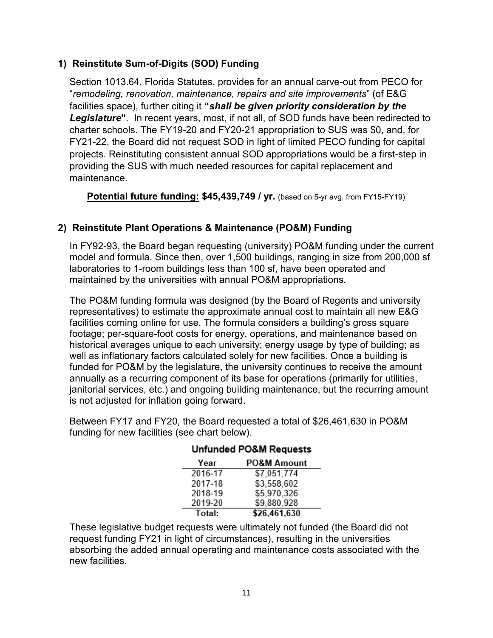## **1) Reinstitute Sum-of-Digits (SOD) Funding**

Section 1013.64, Florida Statutes, provides for an annual carve-out from PECO for "*remodeling, renovation, maintenance, repairs and site improvements*" (of E&G facilities space), further citing it **"***shall be given priority consideration by the Legislature***"**. In recent years, most, if not all, of SOD funds have been redirected to charter schools. The FY19-20 and FY20-21 appropriation to SUS was \$0, and, for FY21-22, the Board did not request SOD in light of limited PECO funding for capital projects. Reinstituting consistent annual SOD appropriations would be a first-step in providing the SUS with much needed resources for capital replacement and maintenance.

**Potential future funding: \$45,439,749 / yr.** (based on 5-yr avg. from FY15-FY19)

## **2) Reinstitute Plant Operations & Maintenance (PO&M) Funding**

In FY92-93, the Board began requesting (university) PO&M funding under the current model and formula. Since then, over 1,500 buildings, ranging in size from 200,000 sf laboratories to 1-room buildings less than 100 sf, have been operated and maintained by the universities with annual PO&M appropriations.

The PO&M funding formula was designed (by the Board of Regents and university representatives) to estimate the approximate annual cost to maintain all new E&G facilities coming online for use. The formula considers a building's gross square footage; per-square-foot costs for energy, operations, and maintenance based on historical averages unique to each university; energy usage by type of building; as well as inflationary factors calculated solely for new facilities. Once a building is funded for PO&M by the legislature, the university continues to receive the amount annually as a recurring component of its base for operations (primarily for utilities, janitorial services, etc.) and ongoing building maintenance, but the recurring amount is not adjusted for inflation going forward.

Between FY17 and FY20, the Board requested a total of \$26,461,630 in PO&M funding for new facilities (see chart below).

| Year    | <b>PO&amp;M Amount</b> |
|---------|------------------------|
| 2016-17 | \$7,051,774            |
| 2017-18 | \$3,558,602            |
| 2018-19 | \$5,970,326            |
| 2019-20 | \$9,880,928            |
| Total:  | \$26,461,630           |

#### **Unfunded PO&M Requests**

These legislative budget requests were ultimately not funded (the Board did not request funding FY21 in light of circumstances), resulting in the universities absorbing the added annual operating and maintenance costs associated with the new facilities.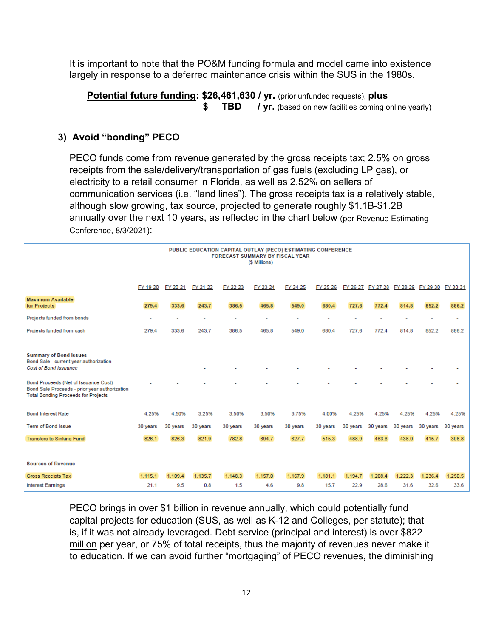It is important to note that the PO&M funding formula and model came into existence largely in response to a deferred maintenance crisis within the SUS in the 1980s.

**Potential future funding: \$26,461,630 / yr.** (prior unfunded requests), **plus \$ TBD** / **yr.** (based on new facilities coming online yearly)

## **3) Avoid "bonding" PECO**

PECO funds come from revenue generated by the gross receipts tax; 2.5% on gross receipts from the sale/delivery/transportation of gas fuels (excluding LP gas), or electricity to a retail consumer in Florida, as well as 2.52% on sellers of communication services (i.e. "land lines"). The gross receipts tax is a relatively stable, although slow growing, tax source, projected to generate roughly \$1.1B-\$1.2B annually over the next 10 years, as reflected in the chart below (per Revenue Estimating Conference, 8/3/2021):

|                                                                                                                                     | PUBLIC EDUCATION CAPITAL OUTLAY (PECO) ESTIMATING CONFERENCE<br><b>FORECAST SUMMARY BY FISCAL YEAR</b><br>(\$ Millions) |          |          |                |          |          |          |          |          |          |                                              |          |
|-------------------------------------------------------------------------------------------------------------------------------------|-------------------------------------------------------------------------------------------------------------------------|----------|----------|----------------|----------|----------|----------|----------|----------|----------|----------------------------------------------|----------|
|                                                                                                                                     | FY 19-20                                                                                                                | FY 20-21 | FY 21-22 | FY 22-23       | FY 23-24 | FY 24-25 | FY 25-26 |          |          |          | FY 26-27 FY 27-28 FY 28-29 FY 29-30 FY 30-31 |          |
| <b>Maximum Available</b><br>for Projects                                                                                            | 279.4                                                                                                                   | 333.6    | 243.7    | 386.5          | 465.8    | 549.0    | 680.4    | 727.6    | 772.4    | 814.8    | 852.2                                        | 886.2    |
| Projects funded from bonds                                                                                                          |                                                                                                                         |          | ٠        | $\overline{a}$ | ٠        |          |          |          |          |          |                                              |          |
| Projects funded from cash                                                                                                           | 279.4                                                                                                                   | 333.6    | 243.7    | 386.5          | 465.8    | 549.0    | 680.4    | 727.6    | 772.4    | 814.8    | 852.2                                        | 886.2    |
|                                                                                                                                     |                                                                                                                         |          |          |                |          |          |          |          |          |          |                                              |          |
| <b>Summary of Bond Issues</b><br>Bond Sale - current year authorization<br><b>Cost of Bond Issuance</b>                             |                                                                                                                         |          |          |                |          |          |          |          |          |          |                                              |          |
| Bond Proceeds (Net of Issuance Cost)<br>Bond Sale Proceeds - prior year authorization<br><b>Total Bonding Proceeds for Projects</b> |                                                                                                                         |          |          |                |          |          |          |          |          |          |                                              |          |
|                                                                                                                                     |                                                                                                                         |          |          |                |          |          |          |          |          |          |                                              |          |
| <b>Bond Interest Rate</b>                                                                                                           | 4.25%                                                                                                                   | 4.50%    | 3.25%    | 3.50%          | 3.50%    | 3.75%    | 4.00%    | 4.25%    | 4.25%    | 4.25%    | 4.25%                                        | 4.25%    |
| <b>Term of Bond Issue</b>                                                                                                           | 30 years                                                                                                                | 30 years | 30 years | 30 years       | 30 years | 30 years | 30 years | 30 years | 30 years | 30 years | 30 years                                     | 30 years |
| <b>Transfers to Sinking Fund</b>                                                                                                    | 826.1                                                                                                                   | 826.3    | 821.9    | 782.8          | 694.7    | 627.7    | 515.3    | 488.9    | 463.6    | 438.0    | 415.7                                        | 396.8    |
|                                                                                                                                     |                                                                                                                         |          |          |                |          |          |          |          |          |          |                                              |          |
| <b>Sources of Revenue</b>                                                                                                           |                                                                                                                         |          |          |                |          |          |          |          |          |          |                                              |          |
| <b>Gross Receipts Tax</b>                                                                                                           | 1,115.1                                                                                                                 | 1.109.4  | 1,135.7  | 1,148.3        | 1,157.0  | 1,167.9  | 1,181.1  | 1.194.7  | 1.208.4  | 1,222.3  | 1.236.4                                      | 1,250.5  |
| <b>Interest Earnings</b>                                                                                                            | 21.1                                                                                                                    | 9.5      | 0.8      | 1.5            | 4.6      | 9.8      | 15.7     | 22.9     | 28.6     | 31.6     | 32.6                                         | 33.6     |

PECO brings in over \$1 billion in revenue annually, which could potentially fund capital projects for education (SUS, as well as K-12 and Colleges, per statute); that is, if it was not already leveraged. Debt service (principal and interest) is over \$822 million per year, or 75% of total receipts, thus the majority of revenues never make it to education. If we can avoid further "mortgaging" of PECO revenues, the diminishing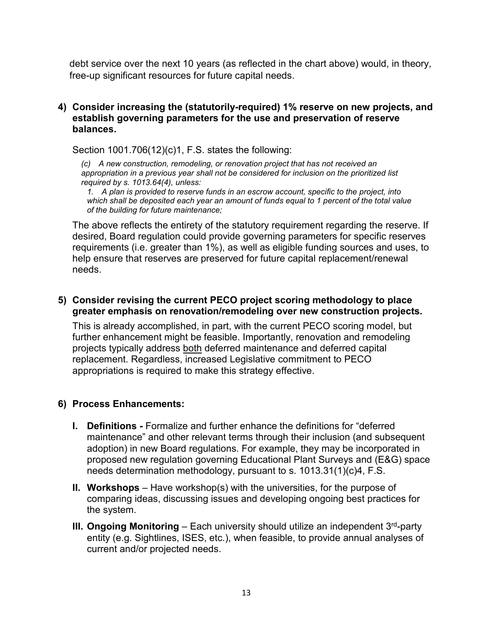debt service over the next 10 years (as reflected in the chart above) would, in theory, free-up significant resources for future capital needs.

#### **4) Consider increasing the (statutorily-required) 1% reserve on new projects, and establish governing parameters for the use and preservation of reserve balances.**

Section 1001.706(12)(c)1, F.S. states the following:

*(c) A new construction, remodeling, or renovation project that has not received an appropriation in a previous year shall not be considered for inclusion on the prioritized list required by s. 1013.64(4), unless:*

*1. A plan is provided to reserve funds in an escrow account, specific to the project, into which shall be deposited each year an amount of funds equal to 1 percent of the total value of the building for future maintenance;*

The above reflects the entirety of the statutory requirement regarding the reserve. If desired, Board regulation could provide governing parameters for specific reserves requirements (i.e. greater than 1%), as well as eligible funding sources and uses, to help ensure that reserves are preserved for future capital replacement/renewal needs.

## **5) Consider revising the current PECO project scoring methodology to place greater emphasis on renovation/remodeling over new construction projects.**

This is already accomplished, in part, with the current PECO scoring model, but further enhancement might be feasible. Importantly, renovation and remodeling projects typically address both deferred maintenance and deferred capital replacement. Regardless, increased Legislative commitment to PECO appropriations is required to make this strategy effective.

## **6) Process Enhancements:**

- **I. Definitions -** Formalize and further enhance the definitions for "deferred maintenance" and other relevant terms through their inclusion (and subsequent adoption) in new Board regulations. For example, they may be incorporated in proposed new regulation governing Educational Plant Surveys and (E&G) space needs determination methodology, pursuant to s. 1013.31(1)(c)4, F.S.
- **II. Workshops** Have workshop(s) with the universities, for the purpose of comparing ideas, discussing issues and developing ongoing best practices for the system.
- **III. Ongoing Monitoring** Each university should utilize an independent 3<sup>rd</sup>-party entity (e.g. Sightlines, ISES, etc.), when feasible, to provide annual analyses of current and/or projected needs.